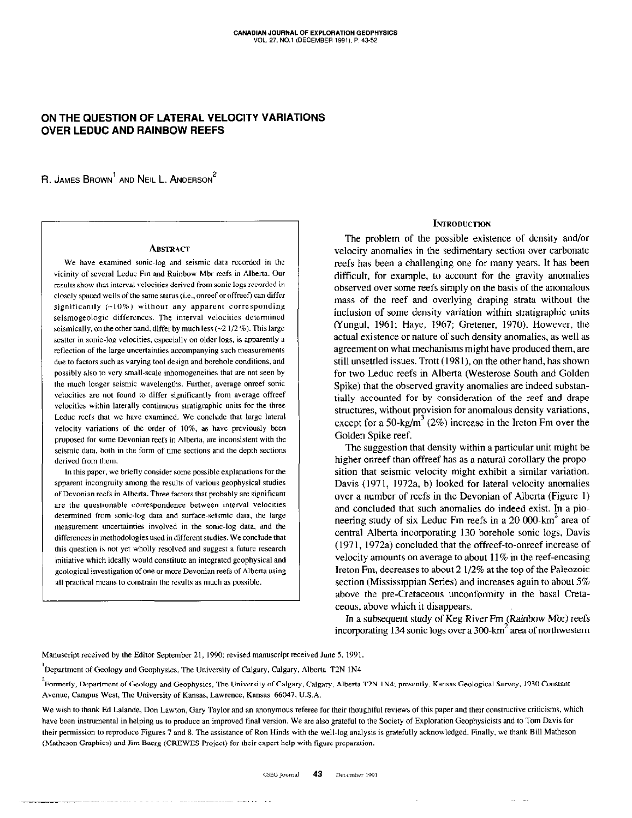# ON THE QUESTION OF LATERAL VELOCITY VARIATIONS OVER LEDUC AND RAINBOW REEFS

R. JAMES BROWN<sup>1</sup> AND NEIL L. ANDERSON<sup>2</sup>

#### **ABSTRACT**

We have examined sonic-log and seismic data recorded in the vicinity of several Leduc Fm and Rainbow Mbr reefs in Alberta. Our results show that interval velocities derived from sonic logs recorded in closely spaced wells of the same status (i.e., onreef or offreef) can differ significantly  $(~10\%)$  without any apparent corresponding seismogeologic differences. The interval velocities determined seismically, on the other hand, differ by much less  $(-2 \frac{1}{2} \%)$ . This large scatter in sonic-tog velocities, especially on older logs, is apparently a reflection of the large uncertainties accompanying such measurements due to factors such as varying tool design and borehole conditions, and possibly also to very small-scale inhomogeneities that are not seen by the much longer seismic wavelengths. Further, average onreef sonic velocities are not found to differ significantly from average offreef velocities within laterally continuous stratigraphic units for the three Leduc reefs that we have examined. We conclude that large lateral velocity variations of the order of 10%, as have previously been proposed for some Devonian reefs in Alberta, are inconsistent with the seismic data, both in the form of time sections and the depth sections derived from them.

In this paper, we briefly consider some possible explanations for the apparent incongruity among the results of various geophysical studies of Devonian reefs in Alberta. Three factors that probably are significant are the questionable correspondence between interval velocities determined from sonic-log data and surface-seismic data, the large measurement uncertainties involved in the sonic-log data, and the differences in methodologies used in different studies. We conclude that this question is not yet whdly resolved and suggest a future research initiative which ideally would constitute an integrated geophysical and geological investigation of one ormore Devonian reefs of Alberta using all practical means to constrain the results as much as possible.

. . . . . . . . . .

## **INTRODUCTION**

The problem of the possible existence of density and/or velocity anomalies in the sedimentary section over carbonate reefs has been a challenging one for many years. It has been difficult, for example, to account for the gravity anomalies observed over some reefs simply on the basis of the anomalous mass of the reef and overlying draping strata without the inclusion of some density variation within stratigraphic units (Yungul, 1961; Haye, 1967; Greener, 1970). However, the actual existence or nature of such density anomalies, as well as agreement on what mechanisms might have produced them. are still unsettled issues. Trott (1981). on the other hand, has shown for two Leduc reefs in Alberta (Westerose South and Golden Spike) that the observed gravity anomalies are indeed substantially accounted for by consideration of the reef and drape structures, without provision for anomalous density variations, except for a 50-kg/m<sup>3</sup> (2%) increase in the Ireton Fm over the Golden Spike reef.

The suggestion that density within a particular unit might be higher onreef than offreef has as a natural corollary the proposition that seismic velocity might exhibit a similar variation. Davis (1971, 1972a, b) looked for lateral velocity anomalies over a number of reefs in the Devonian of Alberta (Figure I) and concluded that such anomalies do indeed exist. In a pioneering study of six Leduc Fm reefs in a 20 000-km<sup>2</sup> area of central Alberta incorporating 130 borehole sonic logs, Davis (1971, 1972a) concluded that the offreef-to-onreef increase of velocity amounts on average to about 11% in the reef-encasing lreton Fm, decreases to about 2 l/2% at the top of the Paleozoic section (Mississippian Series) and increases again to about 5% above the pre.Cretaceous unconformity in the basal Cretaccous, above which it disappears.

In a subsequent study of Keg River Fm (Rainbow Mbr) reefs incorporating 134 sonic logs over a 300-km $\degree$  area of northwestern

Manuscript received by the Editor September 21, 1990: revised manuscript received June 5. 1991.

Department of Geology and Geophysics, The University of Calgary, Calgary, Alberta T2N 1N4

2Fonnerly, Depanment of Geology 2nd Geophysics, The University of Calgary, Calgary, Albena 72N I N4: presently. Kansas Geological Survey. 1930 Constant Avenue, Campus West, The University of Kansas, Lawrence, Kansas 66047, U.S.A.

We wish to thank Ed Lalande, Don Lawton, Gary Taylor and an anonymous referee for their thoughtful reviews of this paper and their constructive criticisms, which have been instrumental in helping us to produce an improved final version. We are also grateful to the Society of Exploration Geophysicists and to Tom Davis for their permission to reproduce Figures 7 and 8. The assistance of Ron Hinds with the well-log analysis is gratefully acknowledged. Finally. we thank Bill Mathesan (Matheson Graphics) and Jim Bacrg (CREWES Project) for their expert help with figure preparation.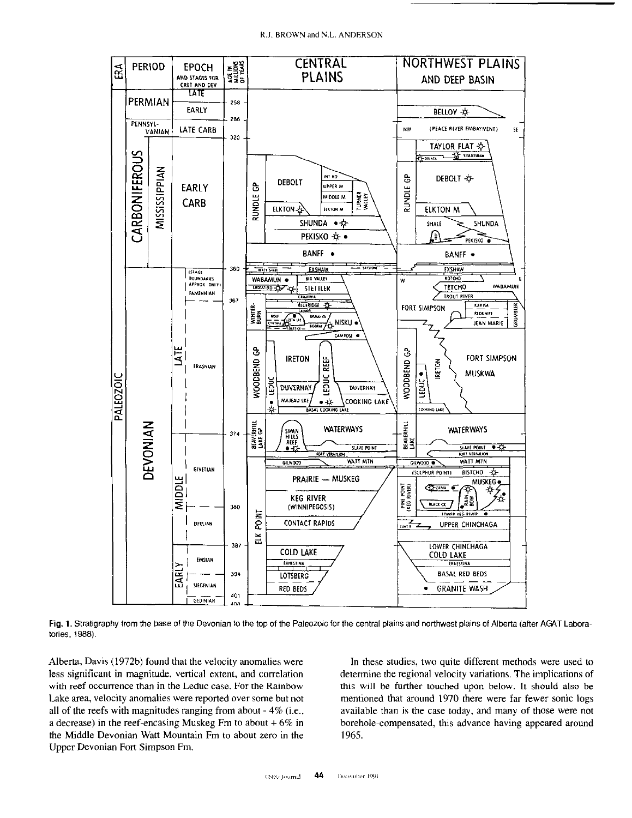R.J. BROWN and N.L. ANDERSON



Fig. 1. Stratigraphy from the base of the Devonian to the top of the Paleozoic for the central plains and northwest plains of Alberta (after AGAT Laboratories, 1988).

Alberta, Davis (1972b) found that the velocity anomalies were less significant in magnitude, vertical extent, and correlation with reef occurrence than in the Leduc case. For the Rainbow Lake area, velocity anomalies were reported over some but not all of the reefs with magnitudes ranging from about  $-4\%$  (i.e., a decrease) in the reef-encasing Muskeg Fm to about  $+6\%$  in the Middle Devonian Watt Mountain Fm to about zero in the Upper Devonian Fort Simpson Fm.

In these studies, two quite different methods were used to determine the regional velocity variations. The implications of this will be further touched upon below. It should also be mentioned that around 1970 there were far fewer sonic logs available than is the case today, and many of those were not borehole-compensated, this advance having appeared around 1965.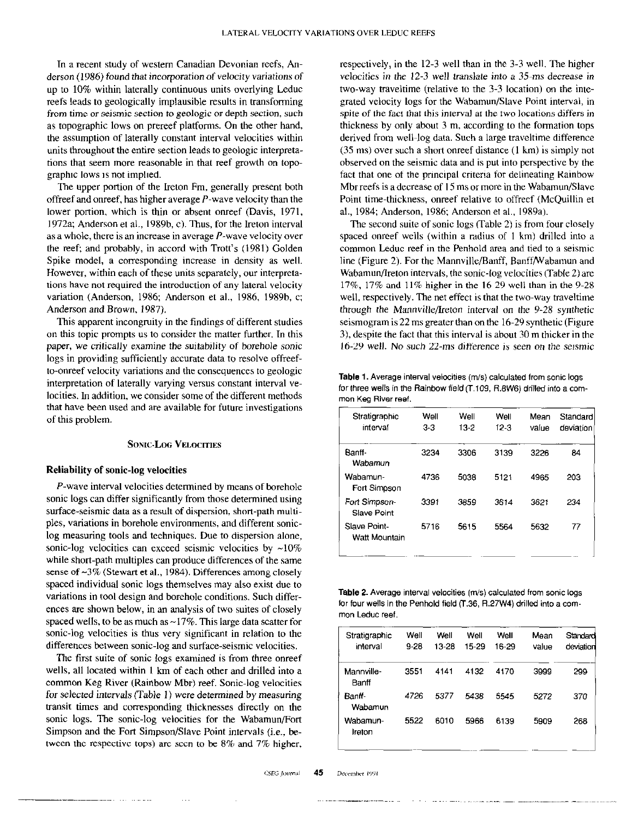In a recent study of western Canadian Devonian reefs, Anderson (1986) found that incorporation of velocity variations of up to 10% within laterally continuous units overlying Leduc reefs leads to geologically implausible results in transforming from time or seismic section to geologic or depth section, such as topographic lows on prereef platforms. On the other hand, the assumption of laterally constant interval velocities within units throughout the entire section leads to geologic interpretations that seem more reasonable in that reef growth on topographic lows is not implied.

The upper portion of the Ireton Fm, generally present both offreef and onreef, has higher average  $P$ -wave velocity than the lower portion, which is thin or absent onreef (Davis, 1971, 1972a; Anderson et al., 1989b, c). Thus, for the lreton interval as a whole, there is an increase in average P-wave velocity over the reef; and probably, in accord with Trott's (1981) Golden Spike model, a corresponding increase in density as well. However, within each of these units separately, our interpretations have not required the introduction of any lateral velocity variation (Anderson, 1986, Anderson et al., 1986, 1989b. c; Anderson and Brown, 1987).

This apparent incongruity in the findings of different studies on this topic prompts us to consider the matter further. In this paper, we critically examine the suitability of borehole sonic logs in providing sufficiently accurate data to resolve offreefto-onreef velocity variations and the consequences to geologic interpretation of laterally varying versus constant interval velocities. In addition, we consider some of the different methods that have been used and are available for future investigations of this problem.

## **SONIC-LOG VELOCITIES**

## Reliability of sonic-log velocities

P-wave interval velocities determined by means of borehole sonic logs can differ significantly from those determined using surface-seismic data as a result of dispersion, short-path multiples, variations in borehole environments, and different soniclog measuring tools and techniques. Due to dispersion alone, sonic-log velocities can exceed seismic velocities by  $~10\%$ while short-path multiples can produce differences of the same sense of ~3% (Stewart et al., 1984). Differences among closely spaced individual sonic logs themselves may also exist due to variations in tool design and borehole conditions. Such differences are shown below, in an analysis of two suites of closely spaced wells, to be as much as  $\sim$  17%. This large data scatter for sonic-log velocities is thus very significant in relation to the differences between sonic-log and surface-seismic velocities.

The first suite of sonic logs examined is from three onreef wells, all located within I km of each other and drilled into a common Keg River (Rainbow Mbr) reef. Sonic-log velocities for selected intervals (Table 1) were determined by measuring transit times and corresponding thicknesses directly on the sonic logs. The sonic-log velocities for the Wabamun/Fort Simpson and the Fort Simpson/Slave Point intervals (i.e., between the respective tops) are seen to be  $8\%$  and  $7\%$  higher,

respectively, in the 12-3 well than in the 3-3 well. The higher velocities in the 12-3 well translate into a 35-ms decrease in two-way traveltime (relative to the 3-3 location) on the integrated velocity logs for the Wabamun/Slave Point interval, in spite of the fact that this interval at the two locations differs in thickness by only about 3 m, according to the formation tops derived from well~log data. Such a large traveltime difference (35 ms) over such a short onreef distance (I km) is simply not observed on the seismic data and is put into perspective by the fact that one of the principal criteria for delineating Rainbow Mbr reefs is a decrease of 15 ms or more in the Wabamun/Slave Point time-thickness, onreef relative to offreef (McQuillin et al., 1984; Anderson, 1986; Anderson et al., 1989a).

The second suite of sonic logs (Table 2) is from four closely spaced onreef wells (within a radius of I km) drilled into a common Leduc reef in the Penhold area and tied to a seismic line (Figure 2). For the Mannville/Banff, Banff/Wabamun and Wabamun/Ireton intervals, the sonic-log velocities (Table 2) are 17%, 17% and I I% higher in the 16-29 well than in the 9-2X well, respectively. The net effect is that the two-way traveltime through the Mannville/Ireton interval on the 9-28 synthetic seismogram is 22 ms greater than on the 16.29 synthetic (Figure 3), despite the fact that this interval is about 30 m thicker in the 16-29 well. No such 22.ms difference is seen on the seismic

Table 1. Average interval velocities (m/s) calculated from sonic logs for three wells in the Rainbow field (T.109, R.BWG) drilled into a common Keg River reef.

| Stratigraphic<br>interval     | Well<br>$3-3$ | Well<br>13-2 | Well<br>$12-3$ | Mean<br>value | Standard<br>deviation |
|-------------------------------|---------------|--------------|----------------|---------------|-----------------------|
| Banff-<br>Wabamun             | 3234          | 3306         | 3139           | 3226          | 84                    |
| Wabamun-<br>Fort Simpson      | 4736          | 5038         | 5121           | 4965          | 203                   |
| Fort Simpson-<br>Slave Point  | 3391          | 3859         | 3614           | 3621          | 234                   |
| Slave Point-<br>Watt Mountain | 5716          | 5615         | 5564           | 5632          | 77                    |

Table 2. Average interval velocities (m/s) calculated from sonic logs for four wells in the Penhold field (T.36. R27W4) drilled into a common Leduc reef.

| Well<br>$9 - 28$ | Well<br>13-28 | Well<br>15-29 | Well<br>16-29 | Mean<br>value | Standard<br>deviation |
|------------------|---------------|---------------|---------------|---------------|-----------------------|
| 3551             | 4141          | 4132          | 4170          | 3999          | 299                   |
| 4726             | 5377          | 5438          | 5545          | 5272          | 370                   |
| 5522             | 6010          | 5966          | 6139          | 5909          | 268                   |
|                  |               |               |               |               |                       |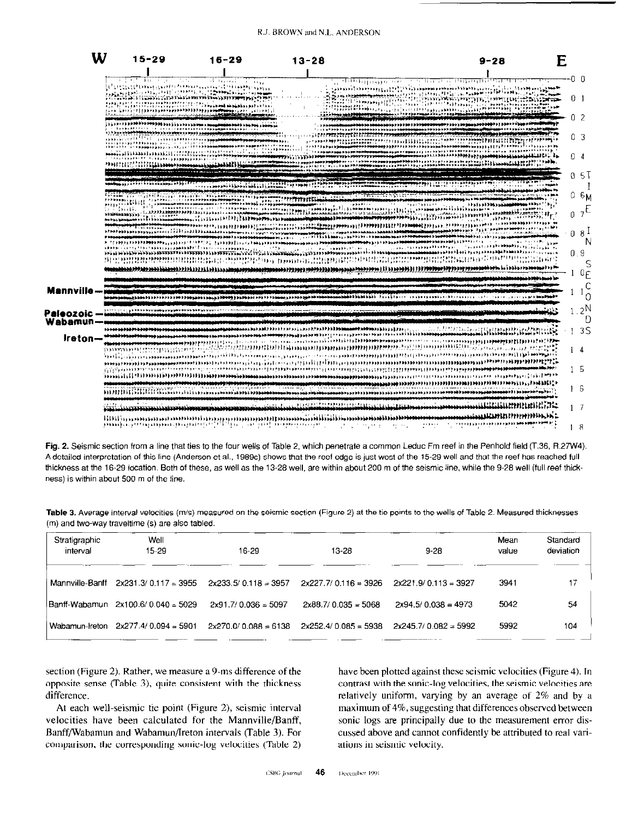|                       | W<br>$15 - 29$         | $16 - 29$                                                                                                                                                                                                                                                                     | $13 - 28$ | $9 - 28$                                                                                                                                                                                                                                                                                                                                                                                                                                                                                                                                                                                                                                                               | E                    |
|-----------------------|------------------------|-------------------------------------------------------------------------------------------------------------------------------------------------------------------------------------------------------------------------------------------------------------------------------|-----------|------------------------------------------------------------------------------------------------------------------------------------------------------------------------------------------------------------------------------------------------------------------------------------------------------------------------------------------------------------------------------------------------------------------------------------------------------------------------------------------------------------------------------------------------------------------------------------------------------------------------------------------------------------------------|----------------------|
|                       | 6 19 19 19 19 19 19 19 | 51 maatoo ah ah                                                                                                                                                                                                                                                               |           | الانتظار فتتها فالانتخاب الأناف المنتخب وتروي والربابات                                                                                                                                                                                                                                                                                                                                                                                                                                                                                                                                                                                                                | -0 O                 |
|                       |                        | وَلِي وَجَوَادِ وَالْأَقْصَاءُ الْهُدَاءَ وَجَدَاءَ مَعَامَةً مِنْ الْقَامَةِ وَجَعَامًا كَلْهَا مَ و<br>وتلطا فأوفر واستعاذوه فاضطلعت الأراد المرامع الأراوا والوالوا وأوالعون بطويان والمايان<br>एके दुनियम स्वास्थय स्वतंत्र्य स्वास्थय स्वास्थ्य संस्थान । । ये स्वास्थ्य |           |                                                                                                                                                                                                                                                                                                                                                                                                                                                                                                                                                                                                                                                                        | 0 <sub>1</sub>       |
|                       |                        |                                                                                                                                                                                                                                                                               |           | संग्रहणी कार्यालय कुछ दिन गर्भात । तमस्य कुछ दिन दिन स्वत् र भारत संग्रहण कार्यालय के स्वत् प्रति के स्वयं कार<br><b>ja se en es a presenta a a construy en escuera en el construyo el proprieto de la construcción de la construyo e</b>                                                                                                                                                                                                                                                                                                                                                                                                                              | 0 <sub>2</sub>       |
|                       |                        | IS A RANGA KALA A A A A A A A A A A A A A MANGA MANGA NA MANGA MANG                                                                                                                                                                                                           |           | י ליי יוי קיימות המולח המולח היו היו היו היו היו המולח המולח היו היו היו המולח המולח המולח היו היו היו היו המו<br>ta en 1994 (1995). L'effett i f <sub>al</sub> fagga dels para dels persons dels parts de l'effett (1996) (1994). L'esperant                                                                                                                                                                                                                                                                                                                                                                                                                          | О3                   |
|                       |                        |                                                                                                                                                                                                                                                                               |           |                                                                                                                                                                                                                                                                                                                                                                                                                                                                                                                                                                                                                                                                        | 04                   |
|                       |                        |                                                                                                                                                                                                                                                                               |           |                                                                                                                                                                                                                                                                                                                                                                                                                                                                                                                                                                                                                                                                        | o 5T                 |
|                       |                        |                                                                                                                                                                                                                                                                               |           |                                                                                                                                                                                                                                                                                                                                                                                                                                                                                                                                                                                                                                                                        | 0.6 <sub>M</sub>     |
|                       |                        |                                                                                                                                                                                                                                                                               |           | <b>SURVEY PARALLEL COMPANY STATE</b>                                                                                                                                                                                                                                                                                                                                                                                                                                                                                                                                                                                                                                   |                      |
|                       |                        |                                                                                                                                                                                                                                                                               |           | $\begin{smallmatrix} \texttt{D} & \texttt{D} & \texttt{D} & \texttt{D} & \texttt{D} & \texttt{D} & \texttt{D} & \texttt{D} & \texttt{D} & \texttt{D} & \texttt{D} & \texttt{D} & \texttt{D} & \texttt{D} & \texttt{D} & \texttt{D} & \texttt{D} & \texttt{D} & \texttt{D} & \texttt{D} & \texttt{D} & \texttt{D} & \texttt{D} & \texttt{D} & \texttt{D} & \texttt{D} & \texttt{D} & \texttt{D} & \texttt{D} & \texttt{D} & \texttt{$<br>$\mu$ /[199]) ) ) ) ) ) ) ) ) ) () (1991) ) () (1992) (1991) (1991) ) (2991) (1992) ) (1992) (1992) (1992) (1992) (1992) (1992) (1992) (1992) (1992) (1992) (1992) (1992) (1992) (1992) (1992) (1992) (1992) (1992) (1992) (19 | 08 <sup>1</sup><br>N |
|                       |                        |                                                                                                                                                                                                                                                                               |           | រ៉ាំមួយព្រះព្រមមានសម្រាប់បានបានប្រាយមួយ ដែលបានបានបញ្ជាក់ព្រះព្រមមាន (adjagger) នៅក្នុងព្រះព្រះព្រះព្រះព្រះព្រះ                                                                                                                                                                                                                                                                                                                                                                                                                                                                                                                                                         | 0.9<br>S             |
|                       |                        |                                                                                                                                                                                                                                                                               |           |                                                                                                                                                                                                                                                                                                                                                                                                                                                                                                                                                                                                                                                                        | 0 <sub>E</sub>       |
| Mannville –           |                        |                                                                                                                                                                                                                                                                               |           | and the continues of the community of the continues of the community of the community of the community of the community of the community of the community of the community of the community of the community of the community                                                                                                                                                                                                                                                                                                                                                                                                                                          | C<br>0               |
| Neozoic-<br>Wabamun — |                        |                                                                                                                                                                                                                                                                               |           |                                                                                                                                                                                                                                                                                                                                                                                                                                                                                                                                                                                                                                                                        | $2^N$<br>D           |
| Ireton—               |                        |                                                                                                                                                                                                                                                                               |           |                                                                                                                                                                                                                                                                                                                                                                                                                                                                                                                                                                                                                                                                        | 3S                   |
|                       |                        |                                                                                                                                                                                                                                                                               |           | $\frac{1}{2}$<br>maining and a state of the communistic ministerium in an information of the communistic and and a state of<br>$\tilde{m}$                                                                                                                                                                                                                                                                                                                                                                                                                                                                                                                             | 14                   |
|                       |                        |                                                                                                                                                                                                                                                                               |           | FILM STATES AND AN ANTIFICATION OF A LITTLE AND AN ANTIFICATION OF A LITTLE CONTRACT OF A LITTLE AND A LITTLE AND A LITTLE AND A LITTLE AND A LITTLE AND A LITTLE AND A LITTLE AND A LITTLE AND A LITTLE AND A LITTLE AND A LI                                                                                                                                                                                                                                                                                                                                                                                                                                         | - 5                  |
|                       |                        |                                                                                                                                                                                                                                                                               |           | НОДПЦККШККккко со провесов постоянных постоянных постоянных постоянных постоянных постоянных постоянных постоянных постоянных постоянных по                                                                                                                                                                                                                                                                                                                                                                                                                                                                                                                            | 16                   |
|                       |                        |                                                                                                                                                                                                                                                                               |           |                                                                                                                                                                                                                                                                                                                                                                                                                                                                                                                                                                                                                                                                        | $1 \quad 7$          |
|                       |                        |                                                                                                                                                                                                                                                                               |           | ROUG, considerate de contra de la proprieta de la constitución de la consideración de la consideración de la constitución de la constitución de la constitución de la constitución de la constitución de la constitución de la                                                                                                                                                                                                                                                                                                                                                                                                                                         | 18                   |

Fig. 2. Seismic section from a line that ties to the four wells of Table 2, which penetrate a common Leduc Fm reef in the Penhold field (T.36, R.27W4). A detailed interpretation of this line (Anderson et al., 1989c) shows that the reef edge is just west of the 15-29 well and that the reef has reached full thickness at the 16-29 location. Both of these, as well as the 13-28 well, are within about 200 m of the seismic line, while the 9-28 well (full reef thickness) is within about 500 m of the line.

Table 3. Average interval velocities (m/s) measured on the seismic section (Figure 2) at the tie points to the wells of Table 2. Measured thicknesses (m) and two-way traveltime (s) are also tabled.

| Stratigraphic<br>interval | Well<br>$15-29$                        | $16-29$                                                              | 13-28                                                                                           | $9 - 28$              | Mean<br>value | Standard<br>deviation |
|---------------------------|----------------------------------------|----------------------------------------------------------------------|-------------------------------------------------------------------------------------------------|-----------------------|---------------|-----------------------|
|                           | Mannville-Banff $2x231.3/0.117 = 3955$ | $2x233.5/0.118 = 3957$ $2x227.7/0.116 = 3926$ $2x221.9/0.113 = 3927$ |                                                                                                 |                       | 3941          | 17                    |
|                           | IBanff-Wabamun 2x100.6/0.040 = 5029    | $2x91.7/0.036 = 5097$                                                | $2x88.7/0.035 = 5068$                                                                           | $2x94.5/0.038 = 4973$ | 5042          | 54                    |
|                           |                                        |                                                                      | $2 \times 270.0 / 0.088 = 6138$ $2 \times 252.4 / 0.085 = 5938$ $2 \times 245.7 / 0.082 = 5992$ |                       | 5992          | 104                   |

section (Figure 2). Rather, we measure a 9-ms difference of the opposite sense (Table 3), quite consistent with the thickness difference.

At each well-seismic tie point (Figure 2), seismic interval velocities have been calculated for the Mannville/Banff, Banff/Wabamun and Wabamun/Ireton intervals (Table 3). For comparison, the corresponding sonic-log velocities (Table 2)

have been plotted against these seismic velocities (Figure 4). In contrast with the sonic-log velocities, the seismic velocities are relatively uniform, varying by an average of 2% and by a maximum of 4%, suggesting that differences observed between sonic logs are principally due to the measurement error discussed above and cannot confidently be attributed to real variations in seismic velocity.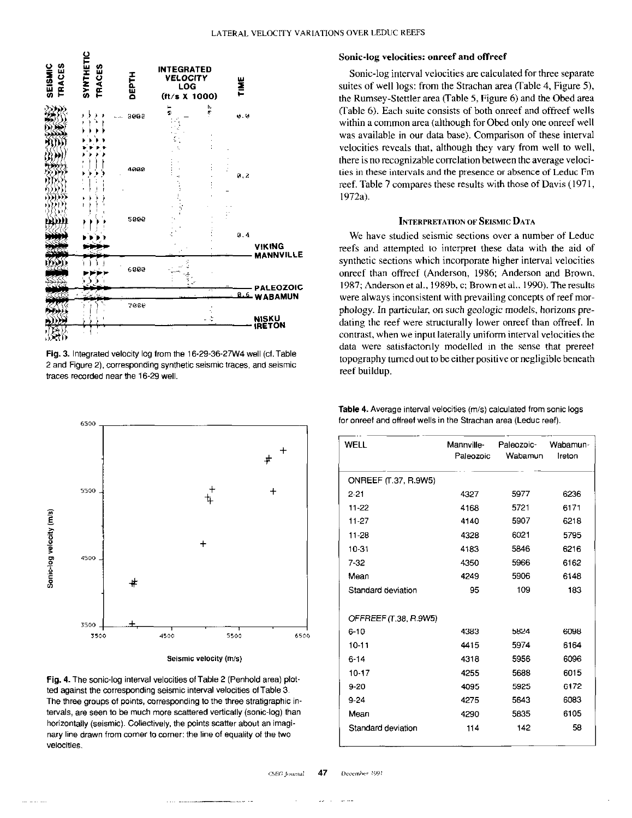

Fig. 3. Integrated velocity log from the 16-29-36-27W4 well (cf. Table 2 and Figure 2). corresponding synthetic seismic traces, and seismic traces recorded near the 16-29 well.



Fig. 4. The sonic-log interval velocities of Table 2 (Penhold area) plotted against the corresponding seismic interval velocities of Table 3. The three groups of points, corresponding to the three stratigraphic intervals, are seen to be much more scattered vertically (sonic-log) than horizontally (seismic). Collectively, the points scatter about an imaginary line drawn from comer to comer: the line of equality of the two velocities.

#### Sonic-log velocities: onreef and offreef

Sonic-log interval velocities are calculated for three separate suites of well logs: from the Strachan area (Table 4, Figure 5), the Rumsey-Stettler area (Table 5, Figure 6) and the Obed area (Table 6). Each suite consists of both onreef and offreef wells within a common area (although for Obed only one onreef well was available in our data base). Comparison of these interval velocities reveals that, although they vary from well to well, there is no recognizable correlation between the average velocities in these intervals and the presence or absence of Leduc Fm reef. Table 7 compares these results with those of Davis (1971, 1972a).

## **INTERPRETATION OF SEISMIC DATA**

We have studied seismic sections over a number of Leduc reefs and attempted to interpret these data with the aid of synthetic sections which incorporate higher interval velocities onreef than offreef (Anderson, 1986; Anderson and Brown. 1987; Anderson et al., 1989b, c; Browner al.. 1990). The results were always inconsistent with prevailing concepts of reef morphology. In particular, on such geologic models, horizons predating the reef were structurally lower onreef than offreef. In contrast, when we input laterally uniform interval velocities the data were satisfactorily modelled in the sense that prereef topography turned out to be either positive or negligible beneath reef buildup.

| WELL                        | Mannville-<br>Paleozoic | Paleozoic-<br>Wabamun | Wabamun-<br>Ireton |
|-----------------------------|-------------------------|-----------------------|--------------------|
| <b>ONREEF (T.37, R.9W5)</b> |                         |                       |                    |
| $2 - 21$                    | 4327                    | 5977                  | 6236               |
| $11 - 22$                   | 4168                    | 5721                  | 6171               |
| 11-27                       | 4140                    | 5907                  | 6218               |
| 11-28                       | 4328                    | 6021                  | 5795               |
| $10 - 31$                   | 4183                    | 5846                  | 6216               |
| $7 - 32$                    | 4350                    | 5966                  | 6162               |
| Mean                        | 4249                    | 5906                  | 6148               |
| Standard deviation          | 95                      | 109                   | 183                |
| OFFREEF (T.38, R.9W5)       |                         |                       |                    |
| $6 - 10$                    | 4383                    | 5824                  | 6098               |
| $10 - 11$                   | 4415                    | 5974                  | 6164               |
| $6 - 14$                    | 4318                    | 5956                  | 6096               |
| $10 - 17$                   | 4255                    | 5688                  | 6015               |
| $9 - 20$                    | 4095                    | 5925                  | 6172               |
| $9 - 24$                    | 4275                    | 5643                  | 6083               |
| Mean                        | 4290                    | 5835                  | 6105               |
| Standard deviation          | 114                     | 142                   | 58                 |

Table 4. Average interval velocities (m/s) calculated from sonic logs for onreef and offreef wells in the Strachan area (Leduc reef).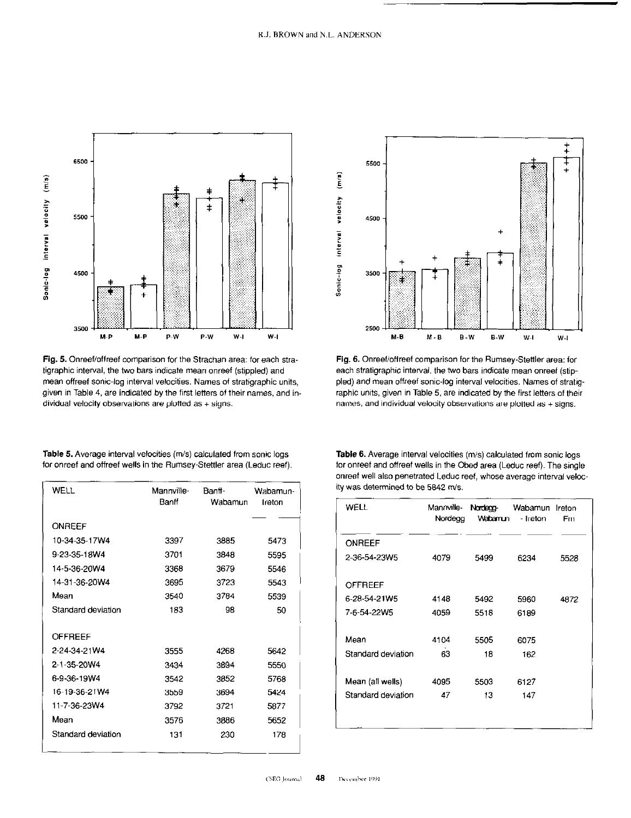

Fig. 5. Onreef/offreef comparison for the Strachan area: for each stratigraphic interval, the two bars indicate mean onreef (stippled) and mean offreef sonic-log interval velocities. Names of stratigraphic units, given in Table 4, are indicated by the first letters of their names, and individual velocity observations are plotted as  $+$  signs.

Table 5. Average interval velocities (m/s) calculated from sonic logs for onreef and offreef wells in the Rumsey-Stettler area (Leduc reef).

| WELL               | Mannville-<br>Banff | Banti-<br>Wabamun | Wabamun-<br>Ireton |
|--------------------|---------------------|-------------------|--------------------|
| <b>ONREEF</b>      |                     |                   |                    |
| 10-34-35-17W4      | 3397                | 3885              | 5473               |
| 9-23-35-18W4       | 3701                | 3848              | 5595               |
| 14-5-36-20W4       | 3368                | 3679              | 5546               |
| 14-31-36-20W4      | 3695                | 3723              | 5543               |
| Mean               | 3540                | 3784              | 5539               |
| Standard deviation | 183                 | 98                | 50                 |
| OFFREEF            |                     |                   |                    |
| 2-24-34-21W4       | 3555                | 4268              | 5642               |
| 2-1-35-20W4        | 3434                | 3894              | 5550               |
| 6-9-36-19W4        | 3542                | 3852              | 5768               |
| 16-19-36-21W4      | 3559                | 3694              | 5424               |
| 11-7-36-23W4       | 3792                | 3721              | 5877               |
| Mean               | 3576                | 3886              | 5652               |
| Standard deviation | 131                 | 230               | 178                |



Fig. 6. Onreef/offreef comparison for the Rumsey-Stettler area: for each stratigraphic interval, the two bars indicate mean onreef (stippled) and mean offreef sonic-log interval velocities. Names of stratigraphic units, given in Table 5, are indicated by the first letters of their names, and individual velocity observations are plotted as + signs.

Table 6. Average interval velocities (m/s) calculated from sonic logs for onreef and offreef wells in the Obed area (Leduc reef). The single onreef well also penetrated Leduc reef, whose average interval velocity was determined to be 5842 m/s.

| WELL               | Mannville-<br>Nordegg | Nordegg-<br>Wabamun | Wabamun<br>- Ireton | Ireton<br>Fm |
|--------------------|-----------------------|---------------------|---------------------|--------------|
| ONREEF             |                       |                     |                     |              |
| 2-36-54-23W5       | 4079                  | 5499                | 6234                | 5528         |
| OFFREEF            |                       |                     |                     |              |
| 6-28-54-21W5       | 4148                  | 5492                | 5960                | 4872         |
| 7-6-54-22W5        | 4059                  | 5518                | 6189                |              |
|                    |                       |                     |                     |              |
| Mean               | 4104                  | 5505                | 6075                |              |
| Standard deviation | 63                    | 18                  | 162                 |              |
|                    |                       |                     |                     |              |
| Mean (all wells)   | 4095                  | 5503                | 6127                |              |
| Standard deviation | 47                    | 13                  | 147                 |              |
|                    |                       |                     |                     |              |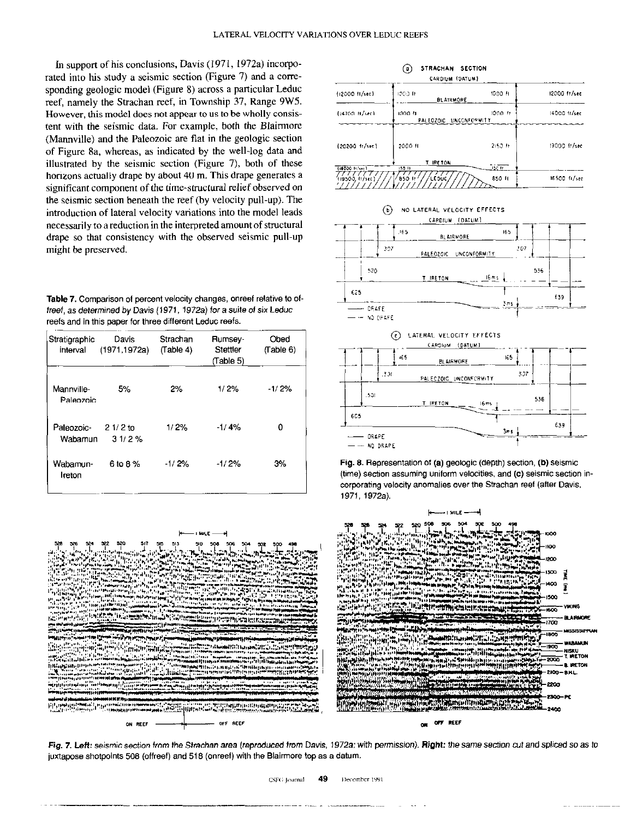In support of his conclusions, Davis (1971, 1972a) incorporated into his study a seismic section (Figure 7) and a correspending geologic model (Figure 8) across a particular Leduc reef, namely the Strachan reef, in Township 37, Range 9W5. However, this model does not appear to us to be wholly consistent with the seismic data. For example, both the Blainnore (Mannyille) and the Paleozoic are flat in the geologic section of Figure 8a, whereas, as indicated by the well-log data and illustrated by the seismic section (Figure 7), both of these horizons actually drape by about 40 m. This drape generates a significant component of the time-structural relief observed on the seismic section beneath the reef (by velocity pull-up). The introduction of lateral velocity variations into the model leads necessarily to a reduction in the interpreted amount of structural drape so that consistency with the observed seismic pull-up might be preserved.

Table 7. Comparison of percent velocity changes, onreef relative to olfreef, as determined by Davis (1971, 1972a) for a suite of six Leduc reefs and in this paper for three different Leduc reefs.

| Stratigraphic<br>interval | Davis<br>(1971.1972a) | Strachan<br>(Table 4) | Rumsey-<br>Stettler<br>(Table 5) | Obed<br>(Table 6) |
|---------------------------|-----------------------|-----------------------|----------------------------------|-------------------|
| Mannville-<br>Paleozoic   | 5%                    | 2%                    | 1/2%                             | $-1/2%$           |
| Paleozoic-<br>Wabamun     | $21/2$ to<br>31/2%    | 1/2%                  | 1/4%                             | 0                 |
| Wabamun-<br>Ireton        | 6 to 8 %              | $-1/2%$               | $-1/2%$                          | 3%                |















Fig. 7. Left: seismic section from the Strachan area (reproduced from Davis, 1972a; with permission). Right: the same section cut and spliced so as to juxtapose shotpoints 506 (offreef) and 516 (onreel) with the Blairmore top as a datum.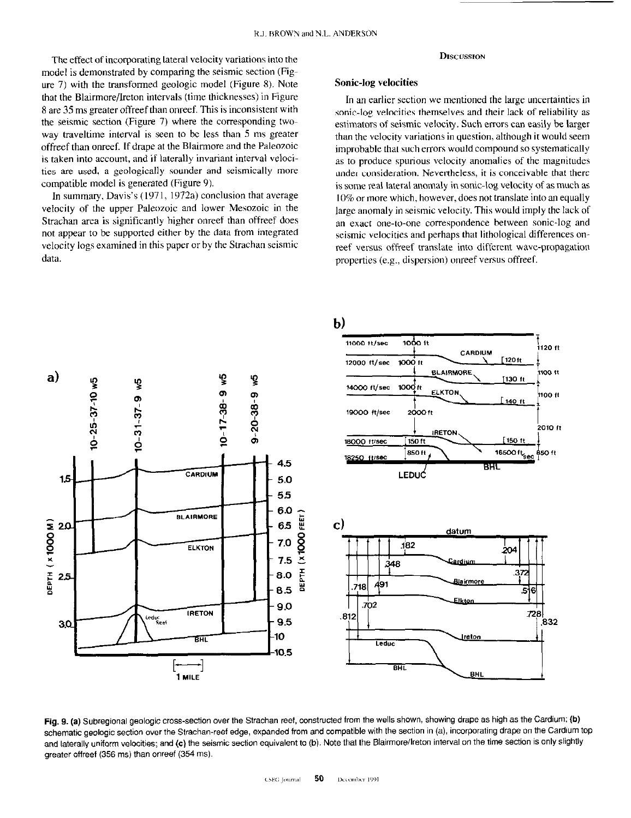The effect of incorporating lateral velocity variations into the model is demonstrated by comparing the seismic section (Figure 7) with the transformed geologic model (Figure 8). Note that the Blairmore/Ireton intervals (time thicknesses) in Figure 8 are 35 ms greater oftreef than onreef. This is inconsistent with the seismic section (Figure 7) where the corresponding twoway traveltime interval is seen to bc less than 5 ms greater offreef than onreef. If drape at the Blairmore and the Paleozoic is taken into account, and if laterally invariant interval velocities are used, a geologically sounder and seismically more compatible model is generated (Figure 9).

In summary, Davis's (1971, 1972a) conclusion that average velocity of the upper Paleozoic and lower Mesozoic in the Strachan area is significantly higher onreef than offreef does not appear to be supported either by the data from integrated velocity logs examined in this paper or by the Strachan seismic data.

#### **DISCUSSION**

## Sonic-log velocities

In an earlier section we mentioned the large uncertainties in sonic-log velocities themselves and their lack of reliability as estimators of seismic velocity. Such errors can easily be larger than the velocity variations in question, although it would seem improbable that such errors would compound so systematically as to produce spurious velocity anomalies of the magnitudes under consideration. Nevertheless, it is conceivable that there is some real lateral anomaly in sonic-log velocity of as much as IO% or more which, however, does not translate into an equally large anomaly in seismic velocity. This would imply the lack of an exact one-to-one correspondence between sonic-log and seismic velocities and perhaps that lithological differences onreef versus offreef translate into different wave-propagation properties (e.g., dispersion) onreef versus offreef.



Fig. 9. (a) Subregional geologic cross-section over the Strachan reef, constructed from the wells shown, showing drape as high as the Cardium; (b) schematic geologic section over the Strachan-reef edge, expanded from and compatible with the section in (a), incorporating drape on the Cardium top and laterally uniform velocities; and (c) the seismic section equivalent to (b). Note that the Blairmore/Ireton interval on the time section is only slightly greater offreef (356 ms) than onreef (354 ms).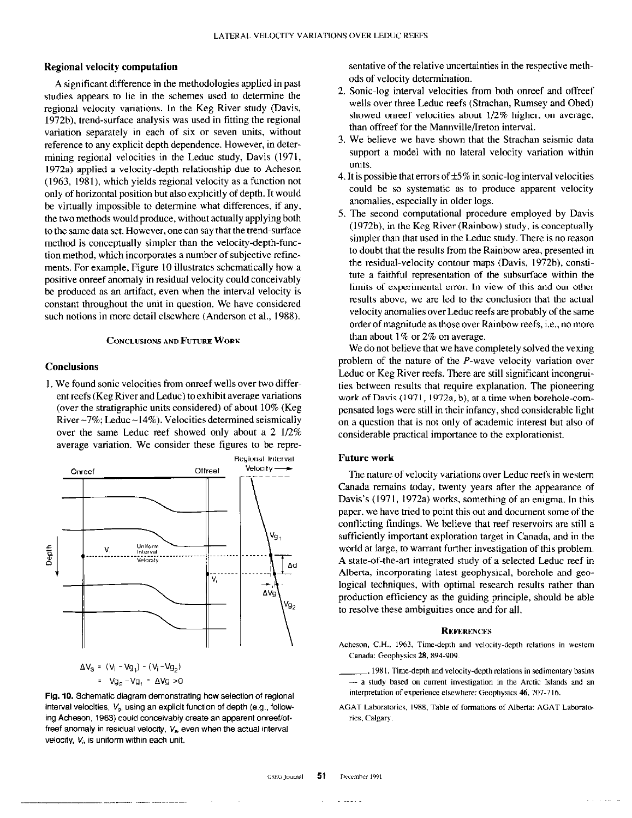## Regional velocity computation

A significant difference in the methodologies applied in past studies appears to lie in the schemes used to determine the regional velocity variations. In the Keg River study (Davis, 1972b). trend-surface analysis was used in fitting the regional variation separately in each of six or seven units, without reference to any explicit depth dependence. However, in determining regional velocities in the Leduc study, Davis (1971, 1972a) applied a velocity-depth relationship due to Acheson (1963, 1981), which yields regional velocity as a function not only of horizontal position but also explicitly of depth. It would be virtually impossible to determine what differences, if any, the two methods would produce, without actually applying both to the same data set. However, one can say that the trend-surface method is conceptually simpler than the velocity-depth-function method, which incorporates a number of subjective refinements. For example, Figure IO illustrates schematically how a positive onreef anomaly in residual velocity could conceivably be produced as an anifact, even when the interval velocity is constant throughout the unit in question. We have considered such notions in more detail elsewhere (Anderson et al., 1988).

## CONCLUSIONS AND FUTURE WORK

## **Conclusions**

I, We found sonic velocities from onreef wells over two different reefs (Keg River and Leduc) to exhibit average variations (over the stratigraphic units considered) of about 10% (Keg River $\sim$ 7%; Leduc  $\sim$ 14%). Velocities determined seismically over the same Leduc reef showed only about a 2 l/2% average variation. We consider these figures to be repre-



Fig. 10. Schematic diagram demonstrating how selection of regional interval velocities,  $V_a$ , using an explicit function of depth (e.g., following Acheson, 1963) could conceivably create an apparent onreef/offreef anomaly in residual velocity,  $V_s$ , even when the actual interval velocity,  $V_i$ , is uniform within each unit.

sentative of the relative uncertainties in the respective methods of velocity determination.

- 2. Sonic-log interval velocities from both onreef and offreef wells over three Leduc reefs (Strachan, Rumsey and Obed) showed onreef velocities about  $1/2\%$  higher, on average, than offreef for the Mannville/lreton interval.
- We believe we have shown that the Strachan seismic data support a model with no lateral velocity variation within units.
- 4. It is possible that errors of  $\pm 5\%$  in sonic-log interval velocities could be so systematic as to produce apparent velocity anomalies, especially in older logs.
- 5. The second computational procedure employed by Davis (1972b), in the Keg River (Rainbow) study, is conceptually simpler than that used in the Leduc study. There is no reason to doubt that the results from the Rainbow area, presented in the residual-velocity contour maps (Davis, 1972b), constitute a faithful representation of the subsurface within the limits of experimental error. In view of this and our other results above, we are led to the conclusion that the actual velocity anomalies over Leduc reefs are probably of the same order of magnitude as those over Rainbow reefs, i.e., no more than about  $1\%$  or  $2\%$  on average.

We do not believe that we have completely solved the vexing problem of the nature of the P-wave velocity variation over Leduc or Keg River reefs. There are still significant incongruities between results that require explanation. The pioneering work of Davis (1971, 1972a, b), at a time when borehole-compensated logs were still in their infancy, shed considerable light on a question that is not only of academic interest but also of considerable practical importance to the explorationist.

#### Future work

The nature of velocity variations over Leduc reefs in western Canada remains today, twenty years after the appearance of Davis's (1971, 1972a) works, something of an enigma. In this paper, we have tried to point this out and document some of the conflicting findings. We believe that reef reservoirs are still a sufficiently important exploration target in Canada, and in the world at large, to warrant further investigation of this problem. A state-of-the-art integrated study of a selected Leduc reef in Alberta, incorporating latest geophysical, borehole and geological techniques, with optimal research results rather than production efficiency as the guiding principle, should be able to resolve these ambiguities once and for all.

#### **REFERENCES**

Acheson, C.H., 1963, Time-depth and velocity-depth relations in western Canada: Geophysics 28,894.909

~, 198 I, Time-depth and velocity-depth relations in sedimentary basins  $-$  a study based on current investigation in the Arctic Islands and an interpretation of experience elsewhere: Geophysics 46, 707-716.

AGAT Laboratories, 1988, Table of formations of Alberta: AGAT Laboratories, Calgary.